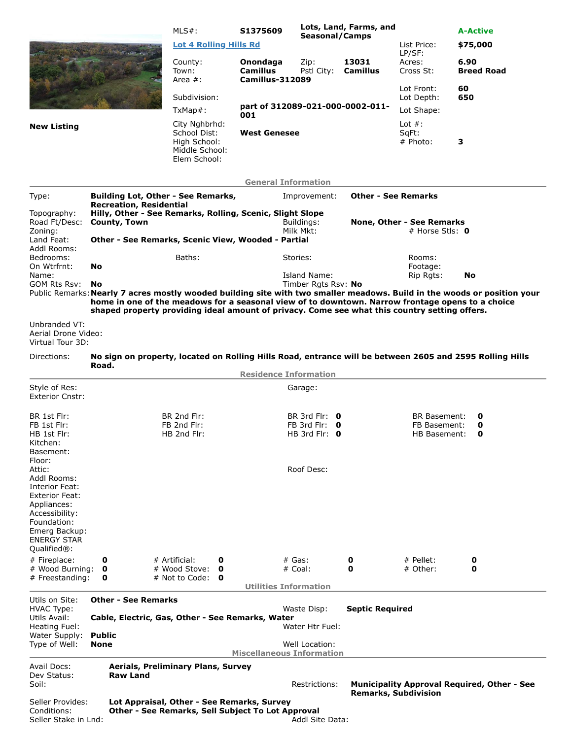|                                                         |                                                                                                                                                                                                   | $MLS#$ :                                                                                        | S1375609                                |                                              | Lots, Land, Farms, and      |                                     | <b>A-Active</b>                                                                                                          |
|---------------------------------------------------------|---------------------------------------------------------------------------------------------------------------------------------------------------------------------------------------------------|-------------------------------------------------------------------------------------------------|-----------------------------------------|----------------------------------------------|-----------------------------|-------------------------------------|--------------------------------------------------------------------------------------------------------------------------|
|                                                         |                                                                                                                                                                                                   | <b>Lot 4 Rolling Hills Rd</b>                                                                   |                                         | <b>Seasonal/Camps</b>                        |                             | List Price:                         | \$75,000                                                                                                                 |
|                                                         |                                                                                                                                                                                                   | County:<br>Town:                                                                                | Onondaga<br><b>Camillus</b>             | Zip:<br>Pstl City:                           | 13031<br><b>Camillus</b>    | LP/SF:<br>Acres:<br>Cross St:       | 6.90<br><b>Breed Road</b>                                                                                                |
|                                                         |                                                                                                                                                                                                   | Area $#$ :                                                                                      | Camillus-312089                         |                                              |                             | Lot Front:                          | 60                                                                                                                       |
|                                                         |                                                                                                                                                                                                   | Subdivision:                                                                                    |                                         |                                              |                             | Lot Depth:                          | 650                                                                                                                      |
|                                                         |                                                                                                                                                                                                   | $TxMap#$ :                                                                                      | part of 312089-021-000-0002-011-<br>001 |                                              |                             | Lot Shape:                          |                                                                                                                          |
| <b>New Listing</b>                                      |                                                                                                                                                                                                   | City Nghbrhd:<br>School Dist:                                                                   | <b>West Genesee</b>                     |                                              |                             | Lot $#$ :<br>SqFt:                  |                                                                                                                          |
|                                                         |                                                                                                                                                                                                   | High School:<br>Middle School:<br>Elem School:                                                  |                                         |                                              |                             | $#$ Photo:                          | 3                                                                                                                        |
|                                                         |                                                                                                                                                                                                   |                                                                                                 | <b>General Information</b>              |                                              |                             |                                     |                                                                                                                          |
| Type:                                                   | <b>Building Lot, Other - See Remarks,</b>                                                                                                                                                         |                                                                                                 |                                         | Improvement:                                 | <b>Other - See Remarks</b>  |                                     |                                                                                                                          |
| Topography:                                             | <b>Recreation, Residential</b><br>Hilly, Other - See Remarks, Rolling, Scenic, Slight Slope                                                                                                       |                                                                                                 |                                         |                                              |                             |                                     |                                                                                                                          |
| Road Ft/Desc:<br>Zoning:                                | County, Town                                                                                                                                                                                      | Buildings:<br>Milk Mkt:                                                                         |                                         | None, Other - See Remarks                    |                             |                                     |                                                                                                                          |
| Land Feat:                                              | Other - See Remarks, Scenic View, Wooded - Partial                                                                                                                                                |                                                                                                 |                                         |                                              |                             | # Horse Stls: $\mathbf 0$           |                                                                                                                          |
| Addl Rooms:<br>Bedrooms:<br>On Wtrfrnt:                 | No                                                                                                                                                                                                | Baths:                                                                                          |                                         | Stories:                                     |                             | Rooms:<br>Footage:                  |                                                                                                                          |
| Name:                                                   |                                                                                                                                                                                                   |                                                                                                 |                                         | Island Name:                                 |                             | Rip Rgts:                           | No                                                                                                                       |
| GOM Rts Rsv:                                            | No.                                                                                                                                                                                               |                                                                                                 |                                         | Timber Rgts Rsv: No                          |                             |                                     | Public Remarks: Nearly 7 acres mostly wooded building site with two smaller meadows. Build in the woods or position your |
|                                                         | home in one of the meadows for a seasonal view of to downtown. Narrow frontage opens to a choice<br>shaped property providing ideal amount of privacy. Come see what this country setting offers. |                                                                                                 |                                         |                                              |                             |                                     |                                                                                                                          |
| Unbranded VT:<br>Aerial Drone Video:                    |                                                                                                                                                                                                   |                                                                                                 |                                         |                                              |                             |                                     |                                                                                                                          |
| Virtual Tour 3D:                                        |                                                                                                                                                                                                   |                                                                                                 |                                         |                                              |                             |                                     |                                                                                                                          |
| Directions:                                             | No sign on property, located on Rolling Hills Road, entrance will be between 2605 and 2595 Rolling Hills<br>Road.                                                                                 |                                                                                                 |                                         |                                              |                             |                                     |                                                                                                                          |
|                                                         |                                                                                                                                                                                                   |                                                                                                 | <b>Residence Information</b>            |                                              |                             |                                     |                                                                                                                          |
| Style of Res:<br><b>Exterior Cnstr:</b>                 |                                                                                                                                                                                                   |                                                                                                 |                                         | Garage:                                      |                             |                                     |                                                                                                                          |
| BR 1st Flr:                                             |                                                                                                                                                                                                   | BR 2nd Flr:                                                                                     |                                         | BR 3rd Flr: $\theta$                         |                             | <b>BR Basement:</b>                 | 0                                                                                                                        |
| FB 1st Flr:<br>HB 1st Flr:                              |                                                                                                                                                                                                   | FB 2nd Flr:<br>HB 2nd Flr:                                                                      |                                         | FB 3rd Flr: $\theta$<br>HB 3rd Flr: $\theta$ |                             | FB Basement:<br><b>HB Basement:</b> | 0<br>0                                                                                                                   |
| Kitchen:                                                |                                                                                                                                                                                                   |                                                                                                 |                                         |                                              |                             |                                     |                                                                                                                          |
| Basement:<br>Floor:                                     |                                                                                                                                                                                                   |                                                                                                 |                                         |                                              |                             |                                     |                                                                                                                          |
| Attic:<br>Addl Rooms:                                   |                                                                                                                                                                                                   |                                                                                                 |                                         | Roof Desc:                                   |                             |                                     |                                                                                                                          |
| Interior Feat:                                          |                                                                                                                                                                                                   |                                                                                                 |                                         |                                              |                             |                                     |                                                                                                                          |
| <b>Exterior Feat:</b><br>Appliances:                    |                                                                                                                                                                                                   |                                                                                                 |                                         |                                              |                             |                                     |                                                                                                                          |
| Accessibility:                                          |                                                                                                                                                                                                   |                                                                                                 |                                         |                                              |                             |                                     |                                                                                                                          |
| Foundation:<br>Emerg Backup:                            |                                                                                                                                                                                                   |                                                                                                 |                                         |                                              |                             |                                     |                                                                                                                          |
| <b>ENERGY STAR</b>                                      |                                                                                                                                                                                                   |                                                                                                 |                                         |                                              |                             |                                     |                                                                                                                          |
| Qualified®:<br># Fireplace:                             | 0                                                                                                                                                                                                 | # Artificial:<br>0                                                                              | $#$ Gas:                                |                                              | 0                           | $#$ Pellet:                         | 0                                                                                                                        |
| # Wood Burning:                                         | 0                                                                                                                                                                                                 | # Wood Stove:<br>O                                                                              |                                         | # Coal:                                      | 0                           | # Other:                            | 0                                                                                                                        |
| # Freestanding:                                         | 0                                                                                                                                                                                                 | # Not to Code:<br>0                                                                             | <b>Utilities Information</b>            |                                              |                             |                                     |                                                                                                                          |
| Utils on Site:                                          | <b>Other - See Remarks</b>                                                                                                                                                                        |                                                                                                 |                                         |                                              |                             |                                     |                                                                                                                          |
| <b>HVAC Type:</b><br>Utils Avail:                       | Cable, Electric, Gas, Other - See Remarks, Water                                                                                                                                                  |                                                                                                 |                                         | Waste Disp:                                  | <b>Septic Required</b>      |                                     |                                                                                                                          |
| Heating Fuel:                                           |                                                                                                                                                                                                   |                                                                                                 |                                         | Water Htr Fuel:                              |                             |                                     |                                                                                                                          |
| Water Supply:<br>Type of Well:                          | <b>Public</b><br>None                                                                                                                                                                             |                                                                                                 |                                         | Well Location:                               |                             |                                     |                                                                                                                          |
|                                                         |                                                                                                                                                                                                   |                                                                                                 | <b>Miscellaneous Information</b>        |                                              |                             |                                     |                                                                                                                          |
| Avail Docs:                                             |                                                                                                                                                                                                   | Aerials, Preliminary Plans, Survey                                                              |                                         |                                              |                             |                                     |                                                                                                                          |
| Dev Status:<br>Soil:                                    | <b>Raw Land</b>                                                                                                                                                                                   |                                                                                                 |                                         | Restrictions:                                |                             |                                     | <b>Municipality Approval Required, Other - See</b>                                                                       |
|                                                         |                                                                                                                                                                                                   |                                                                                                 |                                         |                                              | <b>Remarks, Subdivision</b> |                                     |                                                                                                                          |
| Seller Provides:<br>Conditions:<br>Seller Stake in Lnd: |                                                                                                                                                                                                   | Lot Appraisal, Other - See Remarks, Survey<br>Other - See Remarks, Sell Subject To Lot Approval |                                         | Addl Site Data:                              |                             |                                     |                                                                                                                          |